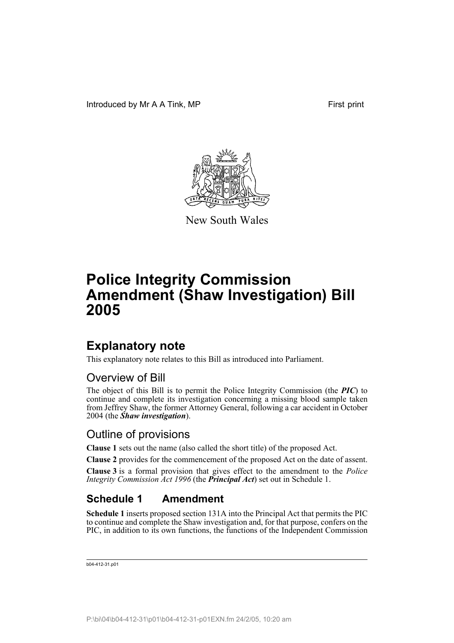

New South Wales

# **Police Integrity Commission Amendment (Shaw Investigation) Bill 2005**

### **Explanatory note**

This explanatory note relates to this Bill as introduced into Parliament.

### Overview of Bill

The object of this Bill is to permit the Police Integrity Commission (the *PIC*) to continue and complete its investigation concerning a missing blood sample taken from Jeffrey Shaw, the former Attorney General, following a car accident in October 2004 (the *Shaw investigation*).

#### Outline of provisions

**Clause 1** sets out the name (also called the short title) of the proposed Act.

**Clause 2** provides for the commencement of the proposed Act on the date of assent.

**Clause 3** is a formal provision that gives effect to the amendment to the *Police Integrity Commission Act 1996* (the *Principal Act*) set out in Schedule 1.

### **Schedule 1 Amendment**

**Schedule 1** inserts proposed section 131A into the Principal Act that permits the PIC to continue and complete the Shaw investigation and, for that purpose, confers on the PIC, in addition to its own functions, the functions of the Independent Commission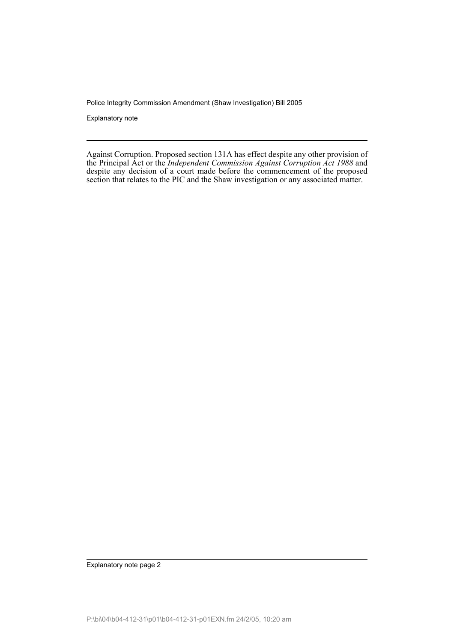Police Integrity Commission Amendment (Shaw Investigation) Bill 2005

Explanatory note

Against Corruption. Proposed section 131A has effect despite any other provision of the Principal Act or the *Independent Commission Against Corruption Act 1988* and despite any decision of a court made before the commencement of the proposed section that relates to the PIC and the Shaw investigation or any associated matter.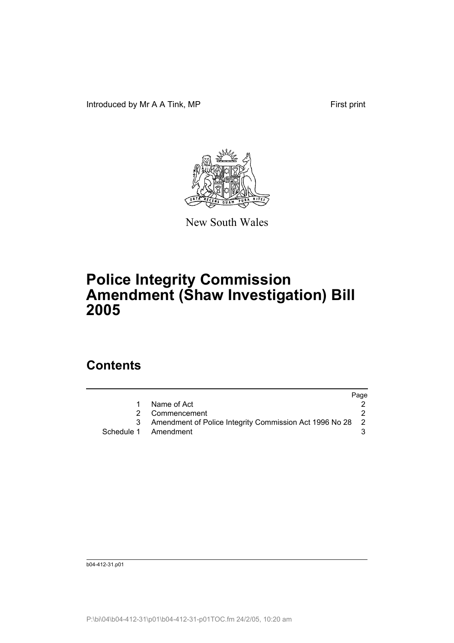Introduced by Mr A A Tink, MP First print



New South Wales

# **Police Integrity Commission Amendment (Shaw Investigation) Bill 2005**

### **Contents**

|    |                                                           | Page |
|----|-----------------------------------------------------------|------|
|    | Name of Act                                               |      |
|    | 2 Commencement                                            |      |
| -3 | Amendment of Police Integrity Commission Act 1996 No 28 2 |      |
|    | Schedule 1 Amendment                                      |      |
|    |                                                           |      |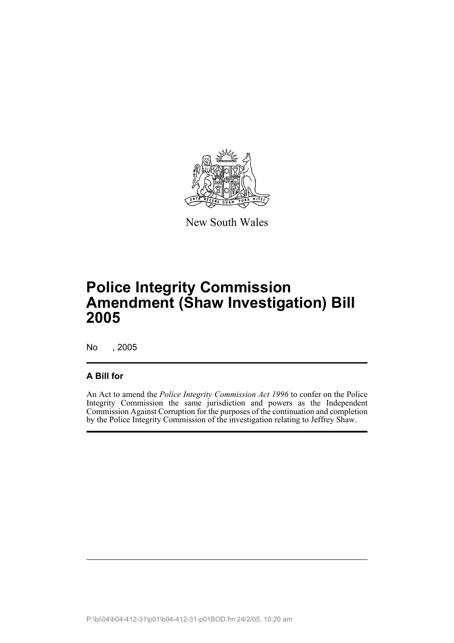

New South Wales

## **Police Integrity Commission Amendment (Shaw Investigation) Bill 2005**

No , 2005

#### **A Bill for**

An Act to amend the *Police Integrity Commission Act 1996* to confer on the Police Integrity Commission the same jurisdiction and powers as the Independent Commission Against Corruption for the purposes of the continuation and completion by the Police Integrity Commission of the investigation relating to Jeffrey Shaw.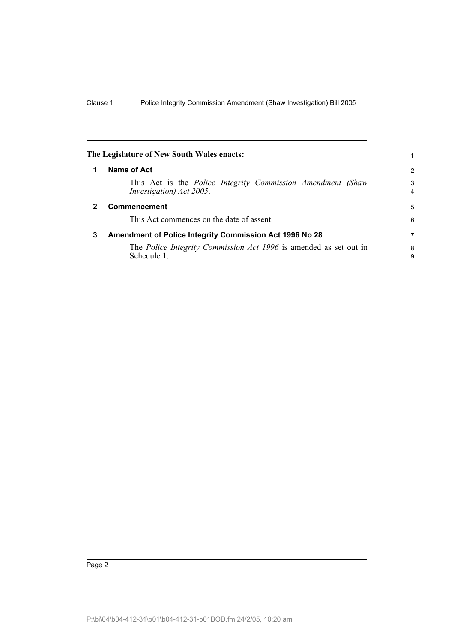<span id="page-5-2"></span><span id="page-5-1"></span><span id="page-5-0"></span>

|   | The Legislature of New South Wales enacts:                                                     | 1                   |
|---|------------------------------------------------------------------------------------------------|---------------------|
|   | Name of Act                                                                                    | $\overline{2}$      |
|   | This Act is the <i>Police Integrity Commission Amendment (Shaw</i><br>Investigation) Act 2005. | 3<br>$\overline{4}$ |
| 2 | <b>Commencement</b>                                                                            | 5                   |
|   | This Act commences on the date of assent.                                                      | 6                   |
| 3 | Amendment of Police Integrity Commission Act 1996 No 28                                        | 7                   |
|   | The <i>Police Integrity Commission Act 1996</i> is amended as set out in<br>Schedule 1.        | 8<br>9              |